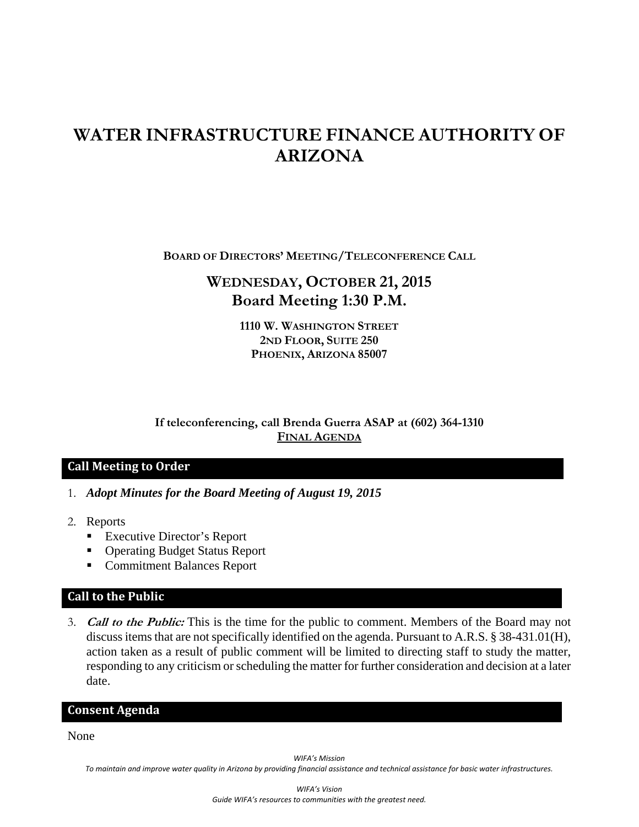# **WATER INFRASTRUCTURE FINANCE AUTHORITY OF ARIZONA**

**BOARD OF DIRECTORS' MEETING/TELECONFERENCE CALL**

# **WEDNESDAY, OCTOBER 21, 2015 Board Meeting 1:30 P.M.**

**1110 W. WASHINGTON STREET 2ND FLOOR, SUITE 250 PHOENIX, ARIZONA 85007** 

**If teleconferencing, call Brenda Guerra ASAP at (602) 364-1310 FINAL AGENDA**

# **Call Meeting to Order**

- 1. *Adopt Minutes for the Board Meeting of August 19, 2015*
- 2. Reports
	- Executive Director's Report
	- Operating Budget Status Report
	- Commitment Balances Report

### **Call to the Public**

3. **Call to the Public:** This is the time for the public to comment. Members of the Board may not discuss items that are not specifically identified on the agenda. Pursuant to A.R.S. § 38-431.01(H), action taken as a result of public comment will be limited to directing staff to study the matter, responding to any criticism or scheduling the matter for further consideration and decision at a later date.

#### **Consent Agenda**

None

*WIFA's Mission*

To maintain and improve water quality in Arizona by providing financial assistance and technical assistance for basic water infrastructures.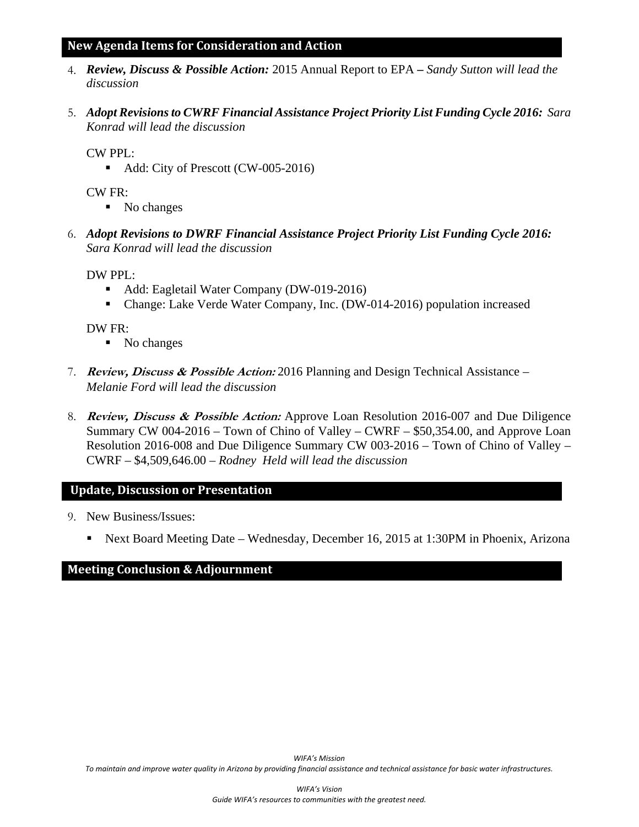#### **New Agenda Items for Consideration and Action**

- 4. *Review, Discuss & Possible Action:* 2015 Annual Report to EPA  *Sandy Sutton will lead the discussion*
- 5. *Adopt Revisions to CWRF Financial Assistance Project Priority List Funding Cycle 2016: Sara Konrad will lead the discussion*

CW PPL:

Add: City of Prescott (CW-005-2016)

CW FR:

- No changes
- 6. *Adopt Revisions to DWRF Financial Assistance Project Priority List Funding Cycle 2016: Sara Konrad will lead the discussion*

DW PPL:

- Add: Eagletail Water Company (DW-019-2016)
- Change: Lake Verde Water Company, Inc. (DW-014-2016) population increased

DW FR:

- No changes
- 7. **Review, Discuss & Possible Action:** 2016 Planning and Design Technical Assistance *Melanie Ford will lead the discussion*
- 8. **Review, Discuss & Possible Action:** Approve Loan Resolution 2016-007 and Due Diligence Summary CW 004-2016 – Town of Chino of Valley – CWRF – \$50,354.00, and Approve Loan Resolution 2016-008 and Due Diligence Summary CW 003-2016 – Town of Chino of Valley – CWRF – \$4,509,646.00 *– Rodney Held will lead the discussion*

#### **Update, Discussion or Presentation**

- 9. New Business/Issues:
	- Next Board Meeting Date Wednesday, December 16, 2015 at 1:30PM in Phoenix, Arizona

#### **Meeting Conclusion & Adjournment**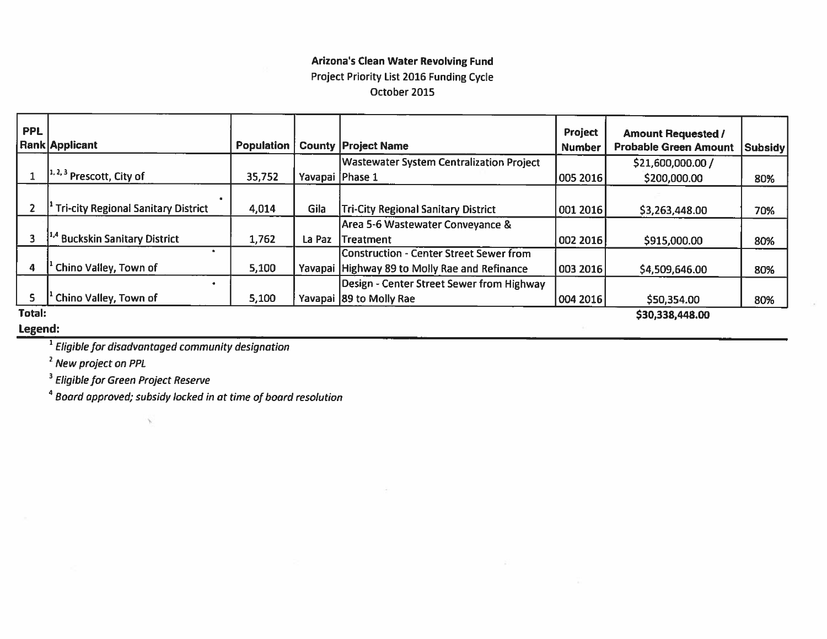# **Arizona's Clean Water Revolving Fund** Project Priority List 2016 Funding Cycle October 2015

| <b>PPL</b>              | Rank Applicant                                              | <b>Population</b> |                 | <b>County Project Name</b>                      | Project<br><b>Number</b> | <b>Amount Requested /</b><br><b>Probable Green Amount</b> | Subsidy |
|-------------------------|-------------------------------------------------------------|-------------------|-----------------|-------------------------------------------------|--------------------------|-----------------------------------------------------------|---------|
|                         |                                                             |                   |                 | <b>Wastewater System Centralization Project</b> |                          | \$21,600,000.00 /                                         |         |
|                         | $\left[ \frac{1}{2}, \frac{3}{2} \right]$ Prescott, City of | 35,752            | Yavapai Phase 1 |                                                 | 005 2016                 | \$200,000.00                                              | 80%     |
|                         | <b>Tri-city Regional Sanitary District</b>                  | 4,014             | Gila            | <b>Tri-City Regional Sanitary District</b>      | 001 2016                 | \$3,263,448.00                                            | 70%     |
|                         |                                                             |                   |                 | Area 5-6 Wastewater Conveyance &                |                          |                                                           |         |
|                         | <sup>1,4</sup> Buckskin Sanitary District                   | 1,762             | La Paz          | lTreatment                                      | 002 2016                 | \$915,000.00                                              | 80%     |
|                         |                                                             |                   |                 | <b>Construction - Center Street Sewer from</b>  |                          |                                                           |         |
| $\overline{\mathbf{4}}$ | Chino Valley, Town of                                       | 5,100             |                 | Yavapai Highway 89 to Molly Rae and Refinance   | 003 2016                 | \$4,509,646.00                                            | 80%     |
|                         |                                                             |                   |                 | Design - Center Street Sewer from Highway       |                          |                                                           |         |
| 5                       | Chino Valley, Town of                                       | 5,100             |                 | Yavapai 89 to Molly Rae                         | 004 2016                 | \$50,354.00                                               | 80%     |
| Total:                  |                                                             |                   |                 |                                                 |                          | \$30,338,448.00                                           |         |

#### Legend:

<sup>1</sup> Eligible for disadvantaged community designation

<sup>2</sup> New project on PPL

<sup>3</sup> Eligible for Green Project Reserve

<sup>4</sup> Board approved; subsidy locked in at time of board resolution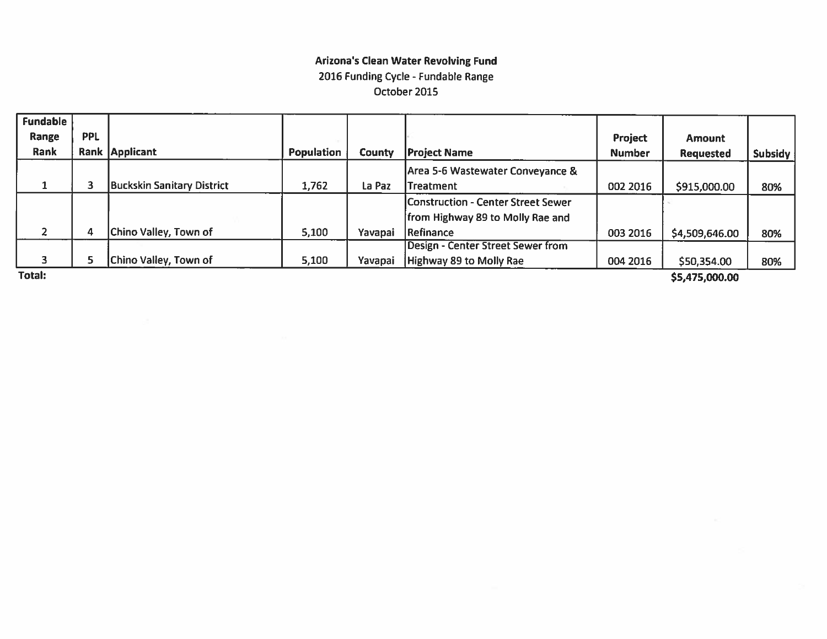# **Arizona's Clean Water Revolving Fund** 2016 Funding Cycle - Fundable Range October 2015

| <b>Fundable</b> |            |                                   |                   |         |                                          |                |                  |         |
|-----------------|------------|-----------------------------------|-------------------|---------|------------------------------------------|----------------|------------------|---------|
| Range           | <b>PPL</b> |                                   |                   |         |                                          | <b>Project</b> | <b>Amount</b>    |         |
| Rank            |            | Rank Applicant                    | <b>Population</b> | County  | <b>Project Name</b>                      | <b>Number</b>  | <b>Requested</b> | Subsidy |
|                 |            |                                   |                   |         | Area 5-6 Wastewater Conveyance &         |                |                  |         |
|                 |            | <b>Buckskin Sanitary District</b> | 1,762             | La Paz  | Treatment                                | 002 2016       | \$915,000.00     | 80%     |
|                 |            |                                   |                   |         | Construction - Center Street Sewer       |                |                  |         |
|                 |            |                                   |                   |         | from Highway 89 to Molly Rae and         |                |                  |         |
| $\overline{2}$  | 4          | Chino Valley, Town of             | 5,100             | Yavapai | <b>Refinance</b>                         | 003 2016       | \$4,509,646.00   | 80%     |
|                 |            |                                   |                   |         | <b>Design - Center Street Sewer from</b> |                |                  |         |
| 3               |            | Chino Valley, Town of             | 5,100             | Yavapai | Highway 89 to Molly Rae                  | 004 2016       | \$50,354.00      | 80%     |
| Total:          |            |                                   |                   |         |                                          |                | \$5,475,000.00   |         |

\$5,475,000.00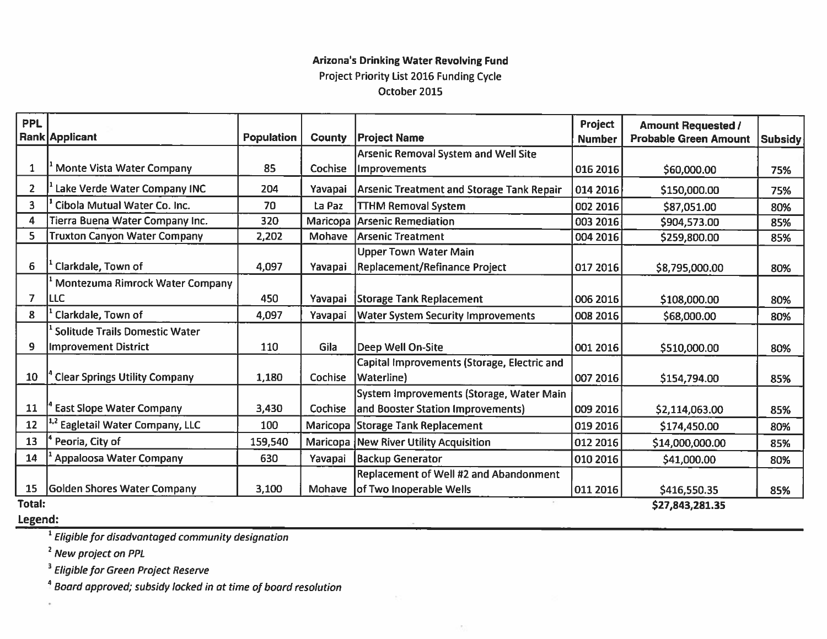# **Arizona's Drinking Water Revolving Fund** Project Priority List 2016 Funding Cycle October 2015

| <b>PPL</b>     | Rank Applicant                        | <b>Population</b> | <b>County</b> | <b>Project Name</b>                                           | Project<br><b>Number</b> | <b>Amount Requested /</b><br><b>Probable Green Amount</b> | Subsidy |  |
|----------------|---------------------------------------|-------------------|---------------|---------------------------------------------------------------|--------------------------|-----------------------------------------------------------|---------|--|
|                |                                       |                   |               | <b>Arsenic Removal System and Well Site</b>                   |                          |                                                           |         |  |
| 1              | <b>Monte Vista Water Company</b>      | 85                | Cochise       | Improvements                                                  | 016 2016                 | \$60,000.00                                               | 75%     |  |
| $\overline{2}$ | Lake Verde Water Company INC          | 204               | Yavapai       | Arsenic Treatment and Storage Tank Repair                     | 014 2016                 | \$150,000.00                                              | 75%     |  |
| 3              | Cibola Mutual Water Co. Inc.          | 70                | La Paz        | <b>TTHM Removal System</b>                                    | 002 2016                 | \$87,051.00                                               | 80%     |  |
| 4              | Tierra Buena Water Company Inc.       | 320               |               | Maricopa Arsenic Remediation                                  | 003 2016                 | \$904,573.00                                              | 85%     |  |
| 5              | <b>Truxton Canyon Water Company</b>   | 2,202             | <b>Mohave</b> | Arsenic Treatment                                             | 004 2016                 | \$259,800.00                                              | 85%     |  |
| 6              | Clarkdale, Town of                    | 4,097             | Yavapai       | <b>Upper Town Water Main</b><br>Replacement/Refinance Project | 017 2016                 | \$8,795,000.00                                            | 80%     |  |
|                | Montezuma Rimrock Water Company       |                   |               |                                                               |                          |                                                           |         |  |
| $\overline{7}$ | <b>ILLC</b>                           | 450               | Yavapai       | <b>Storage Tank Replacement</b>                               | 006 2016                 | \$108,000.00                                              | 80%     |  |
| 8              | Clarkdale, Town of                    | 4,097             | Yavapai       | <b>Water System Security Improvements</b>                     | 008 2016                 | \$68,000.00                                               | 80%     |  |
|                | <b>Solitude Trails Domestic Water</b> |                   |               |                                                               |                          |                                                           |         |  |
| 9              | Improvement District                  | 110               | Gila          | Deep Well On-Site                                             | 001 2016                 | \$510,000.00                                              | 80%     |  |
| 10             | <b>Clear Springs Utility Company</b>  | 1,180             | Cochise       | Capital Improvements (Storage, Electric and<br>Waterline)     | 007 2016                 | \$154,794.00                                              | 85%     |  |
|                |                                       |                   |               | System Improvements (Storage, Water Main                      |                          |                                                           |         |  |
| 11             | <b>East Slope Water Company</b>       | 3,430             | Cochise       | and Booster Station Improvements)                             | 009 2016                 | \$2,114,063.00                                            | 85%     |  |
| 12             | Eagletail Water Company, LLC          | 100               |               | Maricopa Storage Tank Replacement                             | 019 2016                 | \$174,450.00                                              | 80%     |  |
| 13             | Peoria, City of                       | 159,540           |               | Maricopa New River Utility Acquisition                        | 012 2016                 | \$14,000,000.00                                           | 85%     |  |
| 14             | <b>Appaloosa Water Company</b>        | 630               | Yavapai       | <b>Backup Generator</b>                                       | 010 2016                 | \$41,000.00                                               | 80%     |  |
|                |                                       |                   |               | Replacement of Well #2 and Abandonment                        |                          |                                                           |         |  |
| 15             | Golden Shores Water Company           | 3,100             |               | Mohave of Two Inoperable Wells                                | 011 2016                 | \$416,550.35                                              | 85%     |  |
| Total:         | \$27,843,281.35                       |                   |               |                                                               |                          |                                                           |         |  |

Legend:

<sup>1</sup> Eligible for disadvantaged community designation

<sup>2</sup> New project on PPL

<sup>3</sup> Eligible for Green Project Reserve

<sup>4</sup> Board approved; subsidy locked in at time of board resolution